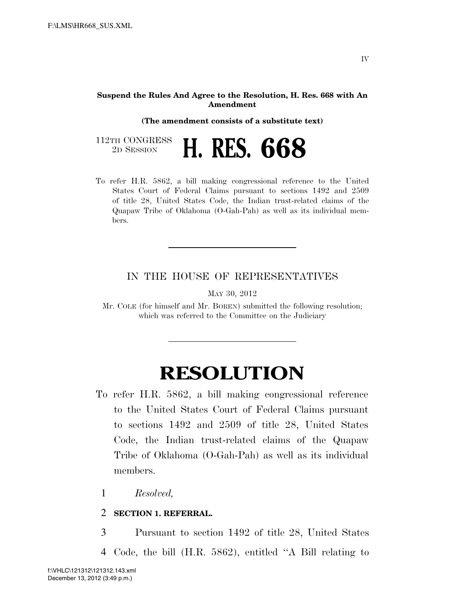#### **Suspend the Rules And Agree to the Resolution, H. Res. 668 with An Amendment**

**(The amendment consists of a substitute text)** 

| 112TH CONGRESS<br>2D SESSION |  |  | <b>H. RES. 668</b> |
|------------------------------|--|--|--------------------|
|------------------------------|--|--|--------------------|

To refer H.R. 5862, a bill making congressional reference to the United States Court of Federal Claims pursuant to sections 1492 and 2509 of title 28, United States Code, the Indian trust-related claims of the Quapaw Tribe of Oklahoma (O-Gah-Pah) as well as its individual members.

## IN THE HOUSE OF REPRESENTATIVES

MAY 30, 2012

Mr. COLE (for himself and Mr. BOREN) submitted the following resolution; which was referred to the Committee on the Judiciary

# **RESOLUTION**

- To refer H.R. 5862, a bill making congressional reference to the United States Court of Federal Claims pursuant to sections 1492 and 2509 of title 28, United States Code, the Indian trust-related claims of the Quapaw Tribe of Oklahoma (O-Gah-Pah) as well as its individual members.
	- 1 *Resolved,*

### 2 **SECTION 1. REFERRAL.**

3 Pursuant to section 1492 of title 28, United States

4 Code, the bill (H.R. 5862), entitled ''A Bill relating to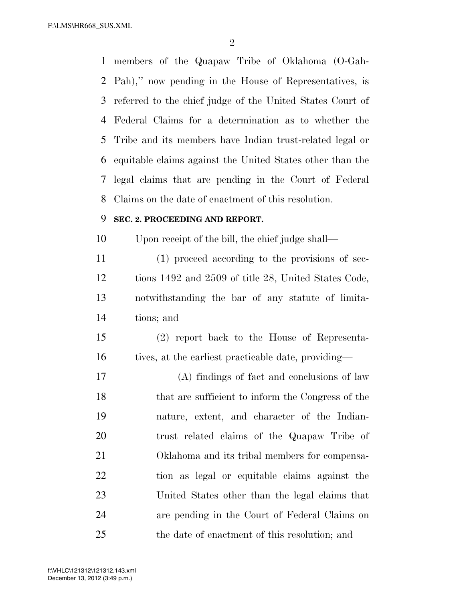F:\LMS\HR668\_SUS.XML

 members of the Quapaw Tribe of Oklahoma (O-Gah- Pah),'' now pending in the House of Representatives, is referred to the chief judge of the United States Court of Federal Claims for a determination as to whether the Tribe and its members have Indian trust-related legal or equitable claims against the United States other than the legal claims that are pending in the Court of Federal Claims on the date of enactment of this resolution.

### **SEC. 2. PROCEEDING AND REPORT.**

Upon receipt of the bill, the chief judge shall—

 (1) proceed according to the provisions of sec- tions 1492 and 2509 of title 28, United States Code, notwithstanding the bar of any statute of limita-tions; and

 (2) report back to the House of Representa-16 tives, at the earliest practicable date, providing—

 (A) findings of fact and conclusions of law that are sufficient to inform the Congress of the nature, extent, and character of the Indian- trust related claims of the Quapaw Tribe of Oklahoma and its tribal members for compensa- tion as legal or equitable claims against the United States other than the legal claims that are pending in the Court of Federal Claims on the date of enactment of this resolution; and